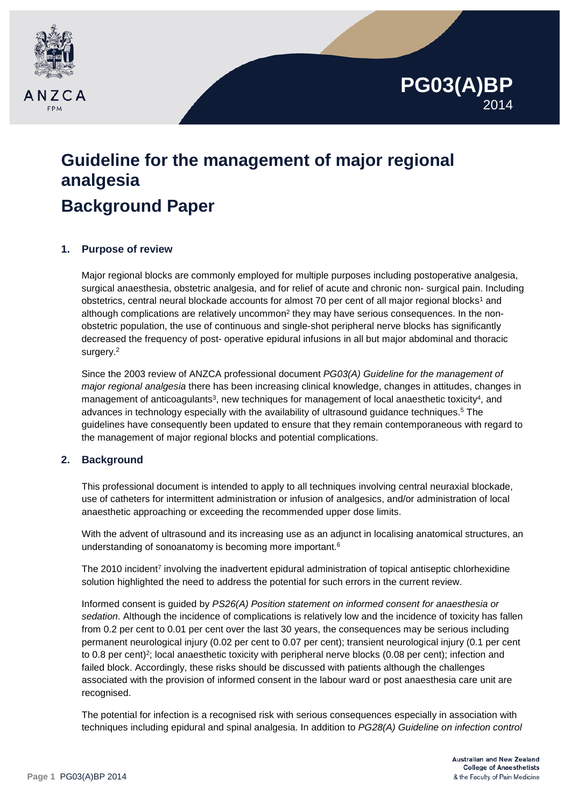

# **Guideline for the management of major regional analgesia Background Paper**

# **1. Purpose of review**

Major regional blocks are commonly employed for multiple purposes including postoperative analgesia, surgical anaesthesia, obstetric analgesia, and for relief of acute and chronic non- surgical pain. Including obstetrics, central neural blockade accounts for almost 70 per cent of all major regional blocks<sup>1</sup> and although complications are relatively uncommon<sup>2</sup> they may have serious consequences. In the nonobstetric population, the use of continuous and single-shot peripheral nerve blocks has significantly decreased the frequency of post- operative epidural infusions in all but major abdominal and thoracic surgery.<sup>2</sup>

Since the 2003 review of ANZCA professional document *PG03(A) Guideline for the management of major regional analgesia* there has been increasing clinical knowledge, changes in attitudes, changes in management of anticoagulants<sup>3</sup>, new techniques for management of local anaesthetic toxicity<sup>4</sup>, and advances in technology especially with the availability of ultrasound guidance techniques.5 The guidelines have consequently been updated to ensure that they remain contemporaneous with regard to the management of major regional blocks and potential complications.

## **2. Background**

This professional document is intended to apply to all techniques involving central neuraxial blockade, use of catheters for intermittent administration or infusion of analgesics, and/or administration of local anaesthetic approaching or exceeding the recommended upper dose limits.

With the advent of ultrasound and its increasing use as an adjunct in localising anatomical structures, an understanding of sonoanatomy is becoming more important.<sup>6</sup>

The 2010 incident<sup>7</sup> involving the inadvertent epidural administration of topical antiseptic chlorhexidine solution highlighted the need to address the potential for such errors in the current review.

Informed consent is guided by *PS26(A) Position statement on informed consent for anaesthesia or sedation*. Although the incidence of complications is relatively low and the incidence of toxicity has fallen from 0.2 per cent to 0.01 per cent over the last 30 years, the consequences may be serious including permanent neurological injury (0.02 per cent to 0.07 per cent); transient neurological injury (0.1 per cent to 0.8 per cent)<sup>2</sup>; local anaesthetic toxicity with peripheral nerve blocks (0.08 per cent); infection and failed block. Accordingly, these risks should be discussed with patients although the challenges associated with the provision of informed consent in the labour ward or post anaesthesia care unit are recognised.

The potential for infection is a recognised risk with serious consequences especially in association with techniques including epidural and spinal analgesia. In addition to *PG28(A) Guideline on infection control* 

**PG03(A)BP**

2014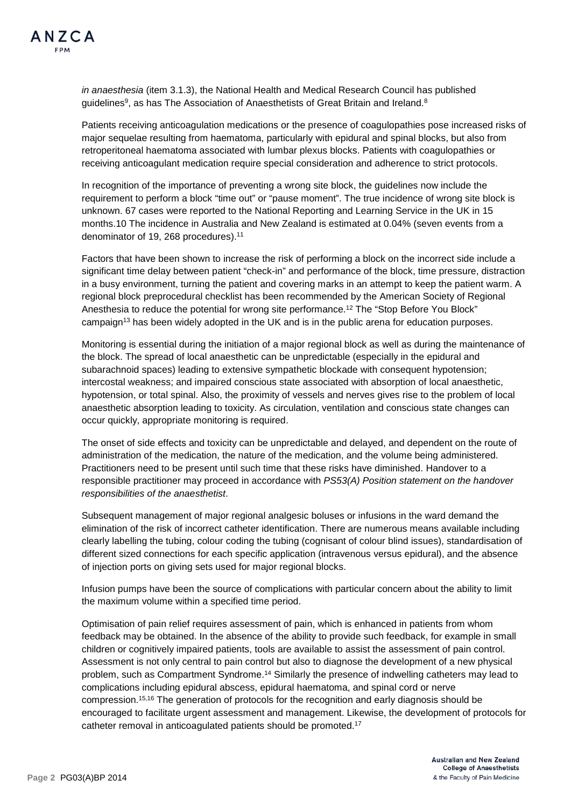*in anaesthesia* (item 3.1.3), the National Health and Medical Research Council has published guidelines<sup>9</sup>, as has The Association of Anaesthetists of Great Britain and Ireland.<sup>8</sup>

Patients receiving anticoagulation medications or the presence of coagulopathies pose increased risks of major sequelae resulting from haematoma, particularly with epidural and spinal blocks, but also from retroperitoneal haematoma associated with lumbar plexus blocks. Patients with coagulopathies or receiving anticoagulant medication require special consideration and adherence to strict protocols.

In recognition of the importance of preventing a wrong site block, the guidelines now include the requirement to perform a block "time out" or "pause moment". The true incidence of wrong site block is unknown. 67 cases were reported to the National Reporting and Learning Service in the UK in 15 months.10 The incidence in Australia and New Zealand is estimated at 0.04% (seven events from a denominator of 19, 268 procedures).<sup>11</sup>

Factors that have been shown to increase the risk of performing a block on the incorrect side include a significant time delay between patient "check-in" and performance of the block, time pressure, distraction in a busy environment, turning the patient and covering marks in an attempt to keep the patient warm. A regional block preprocedural checklist has been recommended by the American Society of Regional Anesthesia to reduce the potential for wrong site performance.12 The "Stop Before You Block" campaign13 has been widely adopted in the UK and is in the public arena for education purposes.

Monitoring is essential during the initiation of a major regional block as well as during the maintenance of the block. The spread of local anaesthetic can be unpredictable (especially in the epidural and subarachnoid spaces) leading to extensive sympathetic blockade with consequent hypotension; intercostal weakness; and impaired conscious state associated with absorption of local anaesthetic, hypotension, or total spinal. Also, the proximity of vessels and nerves gives rise to the problem of local anaesthetic absorption leading to toxicity. As circulation, ventilation and conscious state changes can occur quickly, appropriate monitoring is required.

The onset of side effects and toxicity can be unpredictable and delayed, and dependent on the route of administration of the medication, the nature of the medication, and the volume being administered. Practitioners need to be present until such time that these risks have diminished. Handover to a responsible practitioner may proceed in accordance with *PS53(A) Position statement on the handover responsibilities of the anaesthetist*.

Subsequent management of major regional analgesic boluses or infusions in the ward demand the elimination of the risk of incorrect catheter identification. There are numerous means available including clearly labelling the tubing, colour coding the tubing (cognisant of colour blind issues), standardisation of different sized connections for each specific application (intravenous versus epidural), and the absence of injection ports on giving sets used for major regional blocks.

Infusion pumps have been the source of complications with particular concern about the ability to limit the maximum volume within a specified time period.

Optimisation of pain relief requires assessment of pain, which is enhanced in patients from whom feedback may be obtained. In the absence of the ability to provide such feedback, for example in small children or cognitively impaired patients, tools are available to assist the assessment of pain control. Assessment is not only central to pain control but also to diagnose the development of a new physical problem, such as Compartment Syndrome.14 Similarly the presence of indwelling catheters may lead to complications including epidural abscess, epidural haematoma, and spinal cord or nerve compression.15,16 The generation of protocols for the recognition and early diagnosis should be encouraged to facilitate urgent assessment and management. Likewise, the development of protocols for catheter removal in anticoagulated patients should be promoted.17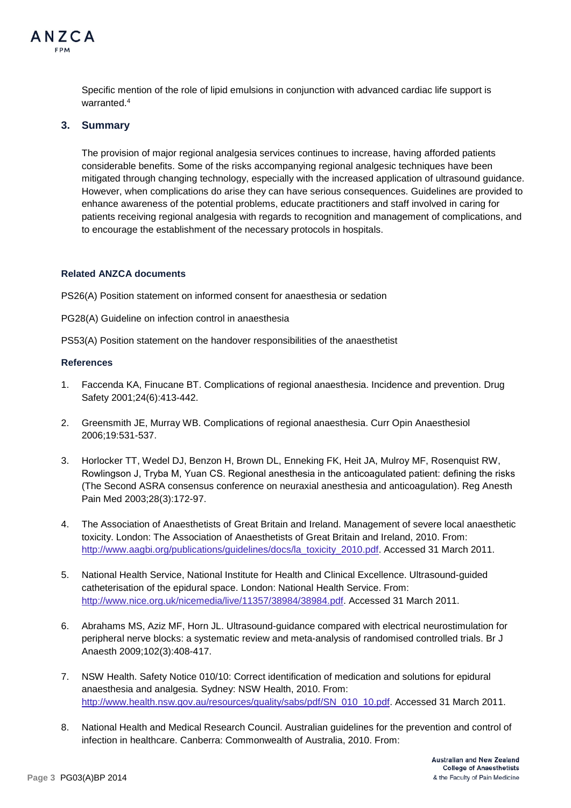

Specific mention of the role of lipid emulsions in conjunction with advanced cardiac life support is warranted.<sup>4</sup>

## **3. Summary**

The provision of major regional analgesia services continues to increase, having afforded patients considerable benefits. Some of the risks accompanying regional analgesic techniques have been mitigated through changing technology, especially with the increased application of ultrasound guidance. However, when complications do arise they can have serious consequences. Guidelines are provided to enhance awareness of the potential problems, educate practitioners and staff involved in caring for patients receiving regional analgesia with regards to recognition and management of complications, and to encourage the establishment of the necessary protocols in hospitals.

#### **Related ANZCA documents**

PS26(A) Position statement on informed consent for anaesthesia or sedation

PG28(A) Guideline on infection control in anaesthesia

PS53(A) Position statement on the handover responsibilities of the anaesthetist

#### **References**

- 1. Faccenda KA, Finucane BT. Complications of regional anaesthesia. Incidence and prevention. Drug Safety 2001;24(6):413-442.
- 2. Greensmith JE, Murray WB. Complications of regional anaesthesia. Curr Opin Anaesthesiol 2006;19:531-537.
- 3. Horlocker TT, Wedel DJ, Benzon H, Brown DL, Enneking FK, Heit JA, Mulroy MF, Rosenquist RW, Rowlingson J, Tryba M, Yuan CS. Regional anesthesia in the anticoagulated patient: defining the risks (The Second ASRA consensus conference on neuraxial anesthesia and anticoagulation). Reg Anesth Pain Med 2003;28(3):172-97.
- 4. The Association of Anaesthetists of Great Britain and Ireland. Management of severe local anaesthetic toxicity. London: The Association of Anaesthetists of Great Britain and Ireland, 2010. From: [http://www.aagbi.org/publications/guidelines/docs/la\\_toxicity\\_2010.pdf.](http://www.aagbi.org/publications/guidelines/docs/la_toxicity_2010.pdf) Accessed 31 March 2011.
- 5. National Health Service, National Institute for Health and Clinical Excellence. Ultrasound-guided catheterisation of the epidural space. London: National Health Service. From: [http://www.nice.org.uk/nicemedia/live/11357/38984/38984.pdf.](http://www.nice.org.uk/nicemedia/live/11357/38984/38984.pdf) Accessed 31 March 2011.
- 6. Abrahams MS, Aziz MF, Horn JL. Ultrasound-guidance compared with electrical neurostimulation for peripheral nerve blocks: a systematic review and meta-analysis of randomised controlled trials. Br J Anaesth 2009;102(3):408-417.
- 7. NSW Health. Safety Notice 010/10: Correct identification of medication and solutions for epidural anaesthesia and analgesia. Sydney: NSW Health, 2010. From: [http://www.health.nsw.gov.au/resources/quality/sabs/pdf/SN\\_010\\_10.pdf.](http://www.health.nsw.gov.au/resources/quality/sabs/pdf/SN_010_10.pdf) Accessed 31 March 2011.
- 8. National Health and Medical Research Council. Australian guidelines for the prevention and control of infection in healthcare. Canberra: Commonwealth of Australia, 2010. From: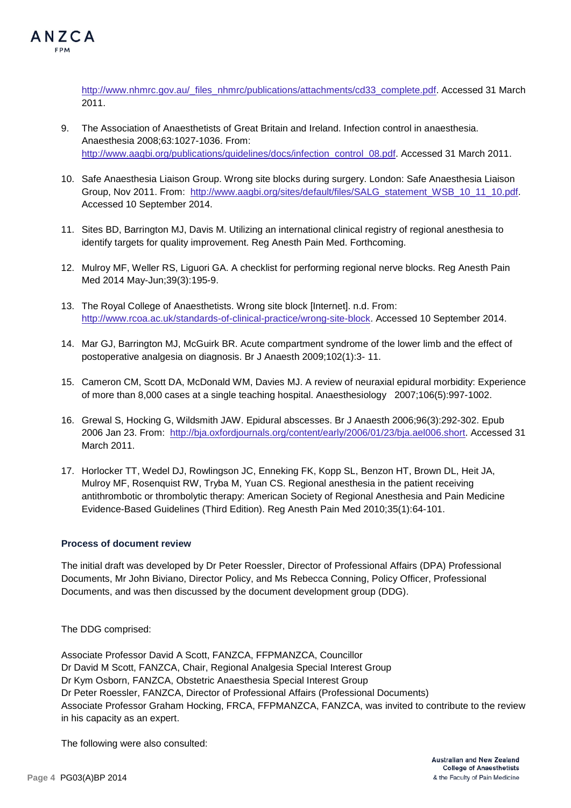

[http://www.nhmrc.gov.au/\\_files\\_nhmrc/publications/attachments/cd33\\_complete.pdf.](http://www.nhmrc.gov.au/_files_nhmrc/publications/attachments/cd33_complete.pdf) Accessed 31 March 2011.

- 9. The Association of Anaesthetists of Great Britain and Ireland. Infection control in anaesthesia. Anaesthesia 2008;63:1027-1036. From: [http://www.aagbi.org/publications/guidelines/docs/infection\\_control\\_08.pdf.](http://www.aagbi.org/publications/guidelines/docs/infection_control_08.pdf) Accessed 31 March 2011.
- 10. Safe Anaesthesia Liaison Group. Wrong site blocks during surgery. London: Safe Anaesthesia Liaison Group, Nov 2011. From: [http://www.aagbi.org/sites/default/files/SALG\\_statement\\_WSB\\_10\\_11\\_10.pdf.](http://www.aagbi.org/sites/default/files/SALG_statement_WSB_10_11_10.pdf) Accessed 10 September 2014.
- 11. Sites BD, Barrington MJ, Davis M. Utilizing an international clinical registry of regional anesthesia to identify targets for quality improvement. Reg Anesth Pain Med. Forthcoming.
- 12. Mulroy MF, Weller RS, Liguori GA. A checklist for performing regional nerve blocks. Reg Anesth Pain Med 2014 May-Jun;39(3):195-9.
- 13. The Royal College of Anaesthetists. Wrong site block [Internet]. n.d. From: [http://www.rcoa.ac.uk/standards-of-clinical-practice/wrong-site-block.](http://www.rcoa.ac.uk/standards-of-clinical-practice/wrong-site-block) Accessed 10 September 2014.
- 14. Mar GJ, Barrington MJ, McGuirk BR. Acute compartment syndrome of the lower limb and the effect of postoperative analgesia on diagnosis. Br J Anaesth 2009;102(1):3- 11.
- 15. Cameron CM, Scott DA, McDonald WM, Davies MJ. A review of neuraxial epidural morbidity: Experience of more than 8,000 cases at a single teaching hospital. Anaesthesiology 2007;106(5):997-1002.
- 16. Grewal S, Hocking G, Wildsmith JAW. Epidural abscesses. Br J Anaesth 2006;96(3):292-302. Epub 2006 Jan 23. From: [http://bja.oxfordjournals.org/content/early/2006/01/23/bja.ael006.short.](http://bja.oxfordjournals.org/content/early/2006/01/23/bja.ael006.short) Accessed 31 March 2011.
- 17. Horlocker TT, Wedel DJ, Rowlingson JC, Enneking FK, Kopp SL, Benzon HT, Brown DL, Heit JA, Mulroy MF, Rosenquist RW, Tryba M, Yuan CS. Regional anesthesia in the patient receiving antithrombotic or thrombolytic therapy: American Society of Regional Anesthesia and Pain Medicine Evidence-Based Guidelines (Third Edition). Reg Anesth Pain Med 2010;35(1):64-101.

## **Process of document review**

The initial draft was developed by Dr Peter Roessler, Director of Professional Affairs (DPA) Professional Documents, Mr John Biviano, Director Policy, and Ms Rebecca Conning, Policy Officer, Professional Documents, and was then discussed by the document development group (DDG).

The DDG comprised:

Associate Professor David A Scott, FANZCA, FFPMANZCA, Councillor Dr David M Scott, FANZCA, Chair, Regional Analgesia Special Interest Group Dr Kym Osborn, FANZCA, Obstetric Anaesthesia Special Interest Group Dr Peter Roessler, FANZCA, Director of Professional Affairs (Professional Documents) Associate Professor Graham Hocking, FRCA, FFPMANZCA, FANZCA, was invited to contribute to the review in his capacity as an expert.

The following were also consulted: